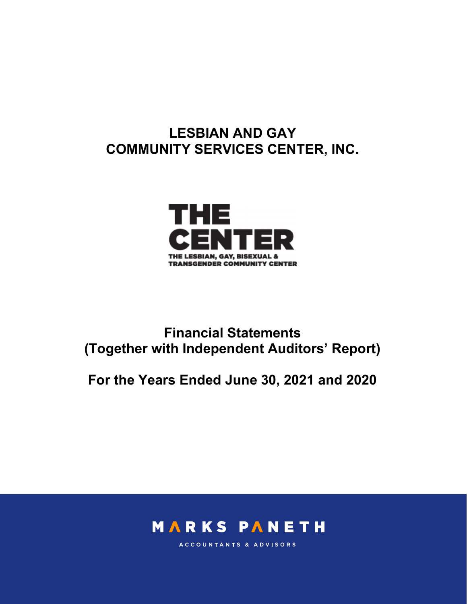# LESBIAN AND GAY COMMUNITY SERVICES CENTER, INC.



# Financial Statements (Together with Independent Auditors' Report)

For the Years Ended June 30, 2021 and 2020



ACCOUNTANTS & ADVISORS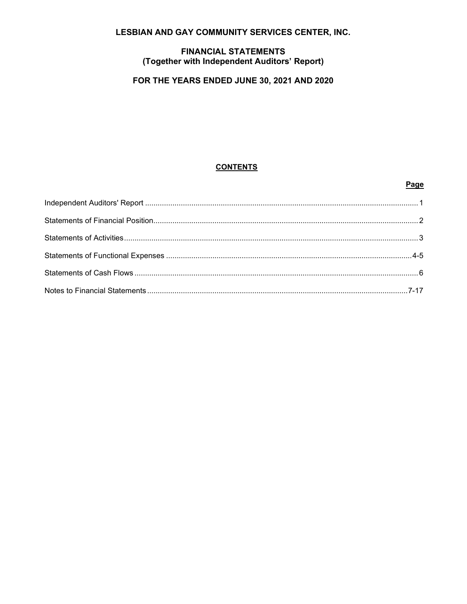# LESBIAN AND GAY COMMUNITY SERVICES CENTER, INC.

# **FINANCIAL STATEMENTS** (Together with Independent Auditors' Report)

# FOR THE YEARS ENDED JUNE 30, 2021 AND 2020

# **CONTENTS**

# Page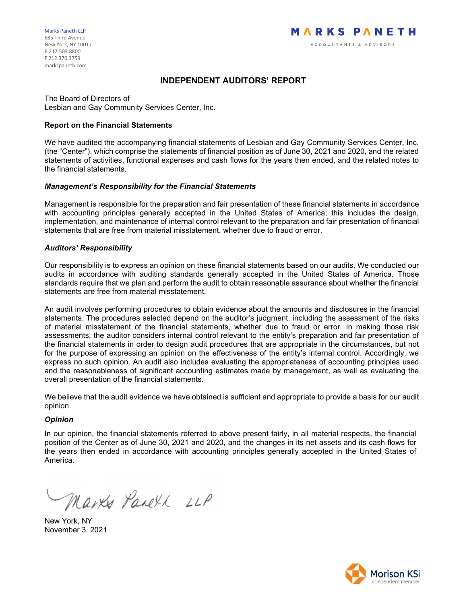# INDEPENDENT AUDITORS' REPORT

The Board of Directors of Lesbian and Gay Community Services Center, Inc.

#### Report on the Financial Statements

We have audited the accompanying financial statements of Lesbian and Gay Community Services Center, Inc. (the "Center"), which comprise the statements of financial position as of June 30, 2021 and 2020, and the related statements of activities, functional expenses and cash flows for the years then ended, and the related notes to the financial statements.

# Management's Responsibility for the Financial Statements

Management is responsible for the preparation and fair presentation of these financial statements in accordance with accounting principles generally accepted in the United States of America; this includes the design, implementation, and maintenance of internal control relevant to the preparation and fair presentation of financial statements that are free from material misstatement, whether due to fraud or error.

# Auditors' Responsibility

Our responsibility is to express an opinion on these financial statements based on our audits. We conducted our audits in accordance with auditing standards generally accepted in the United States of America. Those standards require that we plan and perform the audit to obtain reasonable assurance about whether the financial statements are free from material misstatement.

An audit involves performing procedures to obtain evidence about the amounts and disclosures in the financial statements. The procedures selected depend on the auditor's judgment, including the assessment of the risks of material misstatement of the financial statements, whether due to fraud or error. In making those risk assessments, the auditor considers internal control relevant to the entity's preparation and fair presentation of the financial statements in order to design audit procedures that are appropriate in the circumstances, but not for the purpose of expressing an opinion on the effectiveness of the entity's internal control. Accordingly, we express no such opinion. An audit also includes evaluating the appropriateness of accounting principles used and the reasonableness of significant accounting estimates made by management, as well as evaluating the overall presentation of the financial statements.

We believe that the audit evidence we have obtained is sufficient and appropriate to provide a basis for our audit opinion.

#### **Opinion**

In our opinion, the financial statements referred to above present fairly, in all material respects, the financial position of the Center as of June 30, 2021 and 2020, and the changes in its net assets and its cash flows for the years then ended in accordance with accounting principles generally accepted in the United States of America.

Marks Paneth LLP

New York, NY November 3, 2021

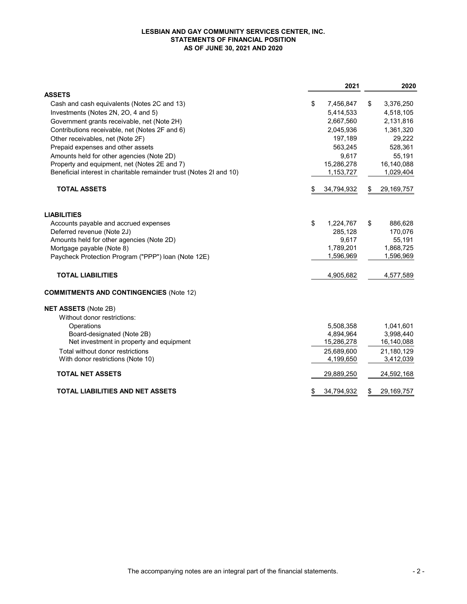#### LESBIAN AND GAY COMMUNITY SERVICES CENTER, INC. STATEMENTS OF FINANCIAL POSITION AS OF JUNE 30, 2021 AND 2020

|                                                                     |    | 2021       |    | 2020       |
|---------------------------------------------------------------------|----|------------|----|------------|
| <b>ASSETS</b>                                                       |    |            |    |            |
| Cash and cash equivalents (Notes 2C and 13)                         | \$ | 7,456,847  | \$ | 3,376,250  |
| Investments (Notes 2N, 2O, 4 and 5)                                 |    | 5,414,533  |    | 4,518,105  |
| Government grants receivable, net (Note 2H)                         |    | 2,667,560  |    | 2,131,816  |
| Contributions receivable, net (Notes 2F and 6)                      |    | 2,045,936  |    | 1,361,320  |
| Other receivables, net (Note 2F)                                    |    | 197,189    |    | 29,222     |
| Prepaid expenses and other assets                                   |    | 563,245    |    | 528,361    |
| Amounts held for other agencies (Note 2D)                           |    | 9,617      |    | 55,191     |
| Property and equipment, net (Notes 2E and 7)                        |    | 15,286,278 |    | 16,140,088 |
| Beneficial interest in charitable remainder trust (Notes 2I and 10) |    | 1,153,727  |    | 1,029,404  |
| <b>TOTAL ASSETS</b>                                                 | S  | 34,794,932 | S  | 29,169,757 |
| <b>LIABILITIES</b>                                                  |    |            |    |            |
| Accounts payable and accrued expenses                               | \$ | 1,224,767  | \$ | 886,628    |
| Deferred revenue (Note 2J)                                          |    | 285,128    |    | 170,076    |
| Amounts held for other agencies (Note 2D)                           |    | 9,617      |    | 55,191     |
| Mortgage payable (Note 8)                                           |    | 1,789,201  |    | 1,868,725  |
| Paycheck Protection Program ("PPP") loan (Note 12E)                 |    | 1,596,969  |    | 1,596,969  |
| <b>TOTAL LIABILITIES</b>                                            |    | 4,905,682  |    | 4,577,589  |
| <b>COMMITMENTS AND CONTINGENCIES (Note 12)</b>                      |    |            |    |            |
| <b>NET ASSETS (Note 2B)</b>                                         |    |            |    |            |
| Without donor restrictions:                                         |    |            |    |            |
| Operations                                                          |    | 5,508,358  |    | 1,041,601  |
| Board-designated (Note 2B)                                          |    | 4,894,964  |    | 3,998,440  |
| Net investment in property and equipment                            |    | 15,286,278 |    | 16,140,088 |
| Total without donor restrictions                                    |    | 25,689,600 |    | 21,180,129 |
| With donor restrictions (Note 10)                                   |    | 4,199,650  |    | 3,412,039  |
| <b>TOTAL NET ASSETS</b>                                             |    | 29,889,250 |    | 24,592,168 |
| <b>TOTAL LIABILITIES AND NET ASSETS</b>                             | \$ | 34,794,932 | \$ | 29,169,757 |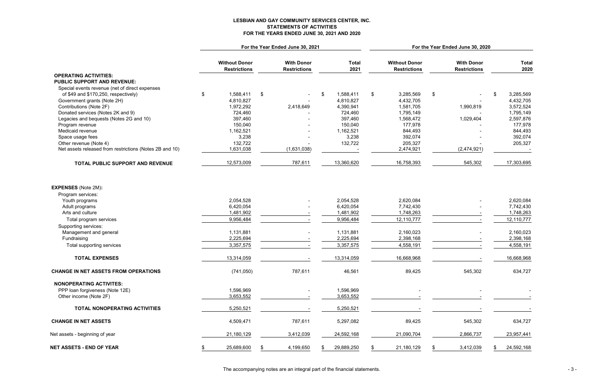# LESBIAN AND GAY COMMUNITY SERVICES CENTER, INC. STATEMENTS OF ACTIVITIES FOR THE YEARS ENDED JUNE 30, 2021 AND 2020

|                                                         |                                             | For the Year Ended June 30, 2021         |                      | For the Year Ended June 30, 2020            |                                          |                                        |  |  |  |
|---------------------------------------------------------|---------------------------------------------|------------------------------------------|----------------------|---------------------------------------------|------------------------------------------|----------------------------------------|--|--|--|
|                                                         | <b>Without Donor</b><br><b>Restrictions</b> | <b>With Donor</b><br><b>Restrictions</b> | <b>Total</b><br>2021 | <b>Without Donor</b><br><b>Restrictions</b> | <b>With Donor</b><br><b>Restrictions</b> | <b>Total</b><br>2020                   |  |  |  |
| <b>OPERATING ACTIVITIES:</b>                            |                                             |                                          |                      |                                             |                                          |                                        |  |  |  |
| <b>PUBLIC SUPPORT AND REVENUE:</b>                      |                                             |                                          |                      |                                             |                                          |                                        |  |  |  |
| Special events revenue (net of direct expenses          |                                             |                                          |                      |                                             |                                          |                                        |  |  |  |
| of \$49 and \$170,250, respectively)                    | \$<br>1,588,411                             | $\sqrt[6]{2}$                            | \$<br>1,588,411      | $\frac{1}{2}$<br>3,285,569                  | $\frac{1}{2}$<br>$\blacksquare$          | $\boldsymbol{\mathsf{s}}$<br>3,285,569 |  |  |  |
| Government grants (Note 2H)                             | 4,810,827                                   |                                          | 4,810,827            | 4,432,705                                   |                                          | 4,432,705                              |  |  |  |
| Contributions (Note 2F)                                 | 1,972,292                                   | 2,418,649                                | 4,390,941            | 1,581,705                                   | 1,990,819                                | 3,572,524                              |  |  |  |
| Donated services (Notes 2K and 9)                       | 724,460                                     |                                          | 724,460              | 1,795,149                                   |                                          | 1,795,149                              |  |  |  |
| Legacies and bequests (Notes 2G and 10)                 | 397,460                                     |                                          | 397,460              | 1,568,472                                   | 1,029,404                                | 2,597,876                              |  |  |  |
| Program revenue                                         | 150,040                                     |                                          | 150,040              | 177,978                                     |                                          | 177,978                                |  |  |  |
| Medicaid revenue                                        | 1,162,521                                   |                                          | 1,162,521            | 844,493                                     |                                          | 844,493                                |  |  |  |
| Space usage fees                                        | 3,238                                       |                                          | 3,238                | 392,074                                     |                                          | 392,074                                |  |  |  |
| Other revenue (Note 4)                                  | 132,722                                     |                                          | 132,722              | 205,327                                     |                                          | 205,327                                |  |  |  |
| Net assets released from restrictions (Notes 2B and 10) | 1,631,038                                   | (1,631,038)                              |                      | 2,474,921                                   | (2,474,921)                              |                                        |  |  |  |
| TOTAL PUBLIC SUPPORT AND REVENUE                        | 12,573,009                                  | 787,611                                  | 13,360,620           | 16,758,393                                  | 545,302                                  | 17,303,695                             |  |  |  |
| <b>EXPENSES</b> (Note 2M):                              |                                             |                                          |                      |                                             |                                          |                                        |  |  |  |
| Program services:                                       |                                             |                                          |                      |                                             |                                          |                                        |  |  |  |
| Youth programs                                          | 2,054,528                                   |                                          | 2,054,528            | 2,620,084                                   |                                          | 2,620,084                              |  |  |  |
| Adult programs                                          | 6,420,054                                   |                                          | 6,420,054            | 7,742,430                                   |                                          | 7,742,430                              |  |  |  |
| Arts and culture                                        | 1,481,902                                   |                                          | 1,481,902            | 1,748,263                                   |                                          | 1,748,263                              |  |  |  |
| Total program services                                  | 9,956,484                                   |                                          | 9,956,484            | 12,110,777                                  |                                          | 12,110,777                             |  |  |  |
| Supporting services:                                    |                                             |                                          |                      |                                             |                                          |                                        |  |  |  |
| Management and general                                  | 1,131,881                                   |                                          | 1,131,881            | 2,160,023                                   |                                          | 2,160,023                              |  |  |  |
| Fundraising                                             | 2,225,694                                   |                                          | 2,225,694            | 2,398,168                                   |                                          | 2,398,168                              |  |  |  |
| Total supporting services                               | 3,357,575                                   |                                          | 3,357,575            | 4,558,191                                   |                                          | 4,558,191                              |  |  |  |
| <b>TOTAL EXPENSES</b>                                   | 13,314,059                                  |                                          | 13,314,059           | 16,668,968                                  |                                          | 16,668,968                             |  |  |  |
| <b>CHANGE IN NET ASSETS FROM OPERATIONS</b>             | (741,050)                                   | 787,611                                  | 46,561               | 89,425                                      | 545,302                                  | 634,727                                |  |  |  |
| <b>NONOPERATING ACTIVITES:</b>                          |                                             |                                          |                      |                                             |                                          |                                        |  |  |  |
| PPP loan forgiveness (Note 12E)                         | 1,596,969                                   |                                          | 1,596,969            |                                             |                                          |                                        |  |  |  |
| Other income (Note 2F)                                  | 3,653,552                                   |                                          | 3,653,552            |                                             |                                          |                                        |  |  |  |
| TOTAL NONOPERATING ACTIVITIES                           | 5,250,521                                   |                                          | 5,250,521            |                                             |                                          |                                        |  |  |  |
| <b>CHANGE IN NET ASSETS</b>                             | 4,509,471                                   | 787,611                                  | 5,297,082            | 89,425                                      | 545,302                                  | 634,727                                |  |  |  |
| Net assets - beginning of year                          | 21,180,129                                  | 3,412,039                                | 24,592,168           | 21,090,704                                  | 2,866,737                                | 23,957,441                             |  |  |  |
| <b>NET ASSETS - END OF YEAR</b>                         | 25,689,600                                  | 4,199,650                                | 29,889,250           | 21,180,129                                  | 3,412,039                                | 24,592,168                             |  |  |  |

The accompanying notes are an integral part of the financial statements. The statements of the statements of the statements of the statements of the statements of the statements of the statements of the statements of the s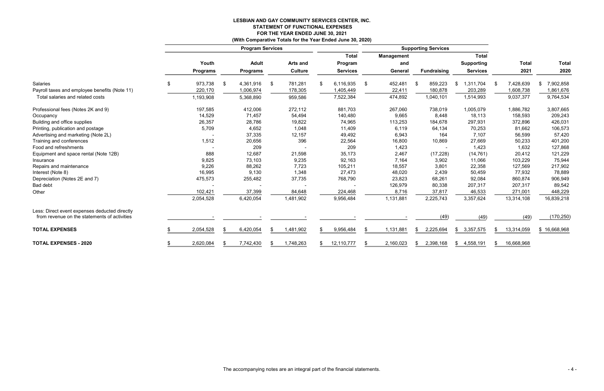#### LESBIAN AND GAY COMMUNITY SERVICES CENTER, INC. STATEMENT OF FUNCTIONAL EXPENSES FOR THE YEAR ENDED JUNE 30, 2021<br>progrative Totals for the Year Ended, June 30, 2020) (With Comparative Totals for the Year Ended June 30, 2020)

|                                               |                 |                         |                 |    | (With Comparative Totals for the Year Ended June 30, 2020) |                            |                 |    |                   |                    |                   |     |              |              |
|-----------------------------------------------|-----------------|-------------------------|-----------------|----|------------------------------------------------------------|----------------------------|-----------------|----|-------------------|--------------------|-------------------|-----|--------------|--------------|
|                                               |                 | <b>Program Services</b> |                 |    |                                                            | <b>Supporting Services</b> |                 |    |                   |                    |                   |     |              |              |
|                                               |                 |                         |                 |    |                                                            |                            | <b>Total</b>    |    | <b>Management</b> |                    | <b>Total</b>      |     |              |              |
|                                               | Youth           |                         | <b>Adult</b>    |    | Arts and                                                   |                            | Program         |    | and               |                    | <b>Supporting</b> |     | <b>Total</b> | <b>Total</b> |
|                                               | <b>Programs</b> |                         | <b>Programs</b> |    | <b>Culture</b>                                             |                            | <b>Services</b> |    | General           | <b>Fundraising</b> | <b>Services</b>   |     | 2021         | 2020         |
| Salaries                                      | 973,738<br>\$   | -\$                     | 4,361,916       | \$ | 781,281                                                    | £.                         | 6,116,935       | \$ | 452,481           | 859,223            | ,311,704<br>\$.   | -SS | 7,428,639    | 7,902,858    |
| Payroll taxes and employee benefits (Note 11) | 220,170         |                         | 1,006,974       |    | 178,305                                                    |                            | 1,405,449       |    | 22,411            | 180,878            | 203,289           |     | 1,608,738    | 1,861,676    |
| Total salaries and related costs              | 1,193,908       |                         | 5,368,890       |    | 959,586                                                    |                            | 7,522,384       |    | 474,892           | 1,040,101          | 1,514,993         |     | 9,037,377    | 9,764,534    |
| Professional fees (Notes 2K and 9)            | 197,585         |                         | 412,006         |    | 272,112                                                    |                            | 881,703         |    | 267,060           | 738,019            | 1,005,079         |     | 1,886,782    | 3,807,665    |
| Occupancy                                     | 14,529          |                         | 71,457          |    | 54,494                                                     |                            | 140,480         |    | 9,665             | 8,448              | 18,113            |     | 158,593      | 209,243      |
| Building and office supplies                  | 26,357          |                         | 28,786          |    | 19,822                                                     |                            | 74,965          |    | 113,253           | 184,678            | 297,931           |     | 372,896      | 426,031      |
| Printing, publication and postage             | 5,709           |                         | 4,652           |    | 1,048                                                      |                            | 11,409          |    | 6,119             | 64,134             | 70,253            |     | 81,662       | 106,573      |
| Advertising and marketing (Note 2L)           |                 |                         | 37,335          |    | 12,157                                                     |                            | 49,492          |    | 6,943             | 164                | 7,107             |     | 56,599       | 57,420       |
| Training and conferences                      | 1,512           |                         | 20,656          |    | 396                                                        |                            | 22,564          |    | 16,800            | 10,869             | 27,669            |     | 50,233       | 401,200      |
| Food and refreshments                         |                 |                         | 209             |    |                                                            |                            | 209             |    | 1,423             |                    | 1,423             |     | 1,632        | 127,868      |
| Equipment and space rental (Note 12B)         | 888             |                         | 12,687          |    | 21,598                                                     |                            | 35,173          |    | 2,467             | (17, 228)          | (14, 761)         |     | 20,412       | 121,229      |
| Insurance                                     | 9,825           |                         | 73,103          |    | 9,235                                                      |                            | 92,163          |    | 7,164             | 3,902              | 11,066            |     | 103,229      | 75,944       |
| Repairs and maintenance                       | 9,226           |                         | 88,262          |    | 7,723                                                      |                            | 105,211         |    | 18,557            | 3,801              | 22,358            |     | 127,569      | 217,902      |
| Interest (Note 8)                             | 16,995          |                         | 9,130           |    | 1,348                                                      |                            | 27,473          |    | 48,020            | 2,439              | 50,459            |     | 77,932       | 78,889       |
| Depreciation (Notes 2E and 7)                 | 475,573         |                         | 255,482         |    | 37,735                                                     |                            | 768,790         |    | 23,823            | 68,261             | 92,084            |     | 860,874      | 906,949      |
| Bad debt                                      |                 |                         |                 |    |                                                            |                            |                 |    | 126,979           | 80,338             | 207,317           |     | 207,317      | 89,542       |
| Other                                         | 102,421         |                         | 37,399          |    | 84,648                                                     |                            | 224,468         |    | 8,716             | 37,817             | 46,533            |     | 271,001      | 448,229      |
|                                               | 2,054,528       |                         | 6,420,054       |    | 1,481,902                                                  |                            | 9,956,484       |    | 1,131,881         | 2,225,743          | 3,357,624         |     | 13,314,108   | 16,839,218   |
| Less: Direct event expenses deducted directly |                 |                         |                 |    |                                                            |                            |                 |    |                   |                    |                   |     |              |              |
| from revenue on the statements of activities  |                 |                         |                 |    |                                                            |                            |                 |    |                   | (49)               | (49)              |     | (49)         | (170, 250)   |
| <b>TOTAL EXPENSES</b>                         | 2,054,528       | - \$                    | 6,420,054       | \$ | 1,481,902                                                  |                            | 9,956,484       | \$ | 1,131,881         | 2,225,694<br>\$    | \$3,357,575       | S.  | 13,314,059   | \$16,668,968 |
| <b>TOTAL EXPENSES - 2020</b>                  | 2,620,084       |                         | 7,742,430       | S  | 1,748,263                                                  |                            | 12,110,777      | \$ | 2,160,023         | 2,398,168<br>- 56  | 4,558,191<br>S.   |     | 16,668,968   |              |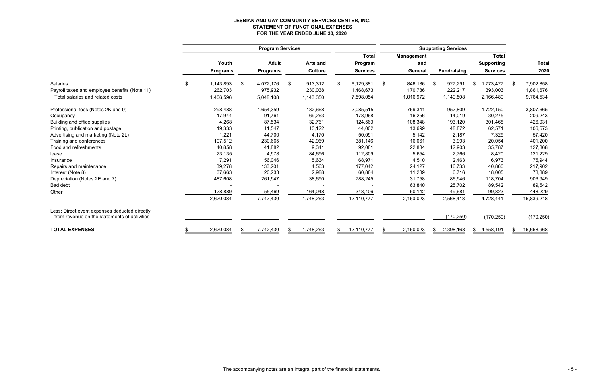# LESBIAN AND GAY COMMUNITY SERVICES CENTER, INC. STATEMENT OF FUNCTIONAL EXPENSES FOR THE YEAR ENDED JUNE 30, 2020

|                                               |                 | <b>Supporting Services</b> |                 |                   |                   |                    |                   |                  |
|-----------------------------------------------|-----------------|----------------------------|-----------------|-------------------|-------------------|--------------------|-------------------|------------------|
|                                               |                 |                            |                 | <b>Total</b>      | <b>Management</b> |                    | <b>Total</b>      |                  |
|                                               | Youth           | <b>Adult</b>               | <b>Arts and</b> | Program           | and               |                    | <b>Supporting</b> | <b>Total</b>     |
|                                               | <b>Programs</b> | <b>Programs</b>            | <b>Culture</b>  | <b>Services</b>   | General           | <b>Fundraising</b> | <b>Services</b>   | 2020             |
| <b>Salaries</b>                               | \$<br>1,143,893 | 4,072,176<br>\$.           | 913,312<br>\$   | 6,129,381<br>\$   | \$<br>846,186     | 927,291<br>\$      | 1,773,477<br>\$   | 7,902,858<br>-S  |
| Payroll taxes and employee benefits (Note 11) | 262,703         | 975,932                    | 230,038         | 1,468,673         | 170,786           | 222,217            | 393,003           | 1,861,676        |
| Total salaries and related costs              | 1,406,596       | 5,048,108                  | 1,143,350       | 7,598,054         | 1,016,972         | 1,149,508          | 2,166,480         | 9,764,534        |
| Professional fees (Notes 2K and 9)            | 298,488         | 1,654,359                  | 132,668         | 2,085,515         | 769,341           | 952,809            | 1,722,150         | 3,807,665        |
| Occupancy                                     | 17,944          | 91,761                     | 69,263          | 178,968           | 16,256            | 14,019             | 30,275            | 209,243          |
| Building and office supplies                  | 4,268           | 87,534                     | 32,761          | 124,563           | 108,348           | 193,120            | 301,468           | 426,031          |
| Printing, publication and postage             | 19,333          | 11,547                     | 13,122          | 44,002            | 13,699            | 48,872             | 62,571            | 106,573          |
| Advertising and marketing (Note 2L)           | 1,221           | 44,700                     | 4,170           | 50,091            | 5,142             | 2,187              | 7,329             | 57,420           |
| Training and conferences                      | 107,512         | 230,665                    | 42,969          | 381,146           | 16,061            | 3,993              | 20,054            | 401,200          |
| Food and refreshments                         | 40,858          | 41,882                     | 9,341           | 92,081            | 22,884            | 12,903             | 35,787            | 127,868          |
| lease                                         | 23,135          | 4,978                      | 84,696          | 112,809           | 5,654             | 2,766              | 8,420             | 121,229          |
| Insurance                                     | 7,291           | 56,046                     | 5,634           | 68,971            | 4,510             | 2,463              | 6,973             | 75,944           |
| Repairs and maintenance                       | 39,278          | 133,201                    | 4,563           | 177,042           | 24,127            | 16,733             | 40,860            | 217,902          |
| Interest (Note 8)                             | 37,663          | 20,233                     | 2,988           | 60,884            | 11,289            | 6,716              | 18,005            | 78,889           |
| Depreciation (Notes 2E and 7)                 | 487,608         | 261,947                    | 38,690          | 788,245           | 31,758            | 86,946             | 118,704           | 906,949          |
| Bad debt                                      |                 |                            |                 |                   | 63,840            | 25,702             | 89,542            | 89,542           |
| Other                                         | 128,889         | 55,469                     | 164,048         | 348,406           | 50,142            | 49,681             | 99,823            | 448,229          |
|                                               | 2,620,084       | 7,742,430                  | 1,748,263       | 12,110,777        | 2,160,023         | 2,568,418          | 4,728,441         | 16,839,218       |
| Less: Direct event expenses deducted directly |                 |                            |                 |                   |                   |                    |                   |                  |
| from revenue on the statements of activities  |                 |                            |                 |                   |                   | (170, 250)         | (170, 250)        | (170, 250)       |
| <b>TOTAL EXPENSES</b>                         | 2,620,084<br>£. | 7,742,430                  | 1,748,263       | 12,110,777<br>\$. | 2,160,023         | 2,398,168<br>\$.   | 4,558,191<br>S    | 16,668,968<br>£. |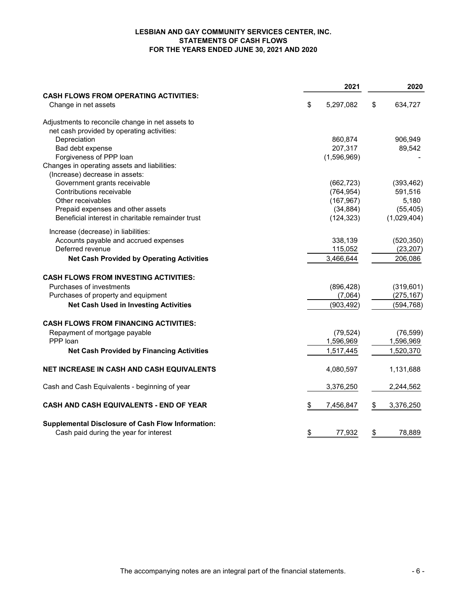# LESBIAN AND GAY COMMUNITY SERVICES CENTER, INC. STATEMENTS OF CASH FLOWS FOR THE YEARS ENDED JUNE 30, 2021 AND 2020

|                                                                      | 2021            | 2020            |
|----------------------------------------------------------------------|-----------------|-----------------|
| <b>CASH FLOWS FROM OPERATING ACTIVITIES:</b><br>Change in net assets | \$<br>5,297,082 | \$<br>634,727   |
|                                                                      |                 |                 |
| Adjustments to reconcile change in net assets to                     |                 |                 |
| net cash provided by operating activities:                           |                 |                 |
| Depreciation                                                         | 860,874         | 906,949         |
| Bad debt expense                                                     | 207,317         | 89,542          |
| Forgiveness of PPP loan                                              | (1,596,969)     |                 |
| Changes in operating assets and liabilities:                         |                 |                 |
| (Increase) decrease in assets:                                       |                 |                 |
| Government grants receivable<br>Contributions receivable             | (662, 723)      | (393, 462)      |
|                                                                      | (764, 954)      | 591,516         |
| Other receivables                                                    | (167, 967)      | 5,180           |
| Prepaid expenses and other assets                                    | (34, 884)       | (55, 405)       |
| Beneficial interest in charitable remainder trust                    | (124, 323)      | (1,029,404)     |
| Increase (decrease) in liabilities:                                  |                 |                 |
| Accounts payable and accrued expenses                                | 338,139         | (520, 350)      |
| Deferred revenue                                                     | 115,052         | (23, 207)       |
| <b>Net Cash Provided by Operating Activities</b>                     | 3,466,644       | 206,086         |
| <b>CASH FLOWS FROM INVESTING ACTIVITIES:</b>                         |                 |                 |
| Purchases of investments                                             | (896, 428)      | (319, 601)      |
| Purchases of property and equipment                                  | (7,064)         | (275, 167)      |
| <b>Net Cash Used in Investing Activities</b>                         | (903, 492)      | (594, 768)      |
| <b>CASH FLOWS FROM FINANCING ACTIVITIES:</b>                         |                 |                 |
| Repayment of mortgage payable                                        | (79, 524)       | (76, 599)       |
| PPP loan                                                             | 1,596,969       | 1,596,969       |
| <b>Net Cash Provided by Financing Activities</b>                     | 1,517,445       | 1,520,370       |
| <b>NET INCREASE IN CASH AND CASH EQUIVALENTS</b>                     | 4,080,597       | 1,131,688       |
|                                                                      |                 |                 |
| Cash and Cash Equivalents - beginning of year                        | 3,376,250       | 2,244,562       |
| CASH AND CASH EQUIVALENTS - END OF YEAR                              | \$<br>7,456,847 | \$<br>3,376,250 |
| <b>Supplemental Disclosure of Cash Flow Information:</b>             |                 |                 |
| Cash paid during the year for interest                               | \$<br>77,932    | \$<br>78,889    |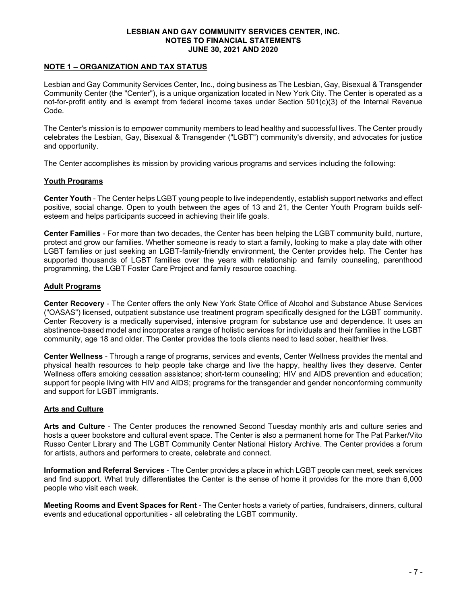# NOTE 1 – ORGANIZATION AND TAX STATUS

Lesbian and Gay Community Services Center, Inc., doing business as The Lesbian, Gay, Bisexual & Transgender Community Center (the "Center"), is a unique organization located in New York City. The Center is operated as a not-for-profit entity and is exempt from federal income taxes under Section 501(c)(3) of the Internal Revenue Code.

The Center's mission is to empower community members to lead healthy and successful lives. The Center proudly celebrates the Lesbian, Gay, Bisexual & Transgender ("LGBT") community's diversity, and advocates for justice and opportunity.

The Center accomplishes its mission by providing various programs and services including the following:

# Youth Programs

Center Youth - The Center helps LGBT young people to live independently, establish support networks and effect positive, social change. Open to youth between the ages of 13 and 21, the Center Youth Program builds selfesteem and helps participants succeed in achieving their life goals.

Center Families - For more than two decades, the Center has been helping the LGBT community build, nurture, protect and grow our families. Whether someone is ready to start a family, looking to make a play date with other LGBT families or just seeking an LGBT-family-friendly environment, the Center provides help. The Center has supported thousands of LGBT families over the years with relationship and family counseling, parenthood programming, the LGBT Foster Care Project and family resource coaching.

# Adult Programs

Center Recovery - The Center offers the only New York State Office of Alcohol and Substance Abuse Services ("OASAS") licensed, outpatient substance use treatment program specifically designed for the LGBT community. Center Recovery is a medically supervised, intensive program for substance use and dependence. It uses an abstinence-based model and incorporates a range of holistic services for individuals and their families in the LGBT community, age 18 and older. The Center provides the tools clients need to lead sober, healthier lives.

Center Wellness - Through a range of programs, services and events, Center Wellness provides the mental and physical health resources to help people take charge and live the happy, healthy lives they deserve. Center Wellness offers smoking cessation assistance; short-term counseling; HIV and AIDS prevention and education; support for people living with HIV and AIDS; programs for the transgender and gender nonconforming community and support for LGBT immigrants.

# Arts and Culture

Arts and Culture - The Center produces the renowned Second Tuesday monthly arts and culture series and hosts a queer bookstore and cultural event space. The Center is also a permanent home for The Pat Parker/Vito Russo Center Library and The LGBT Community Center National History Archive. The Center provides a forum for artists, authors and performers to create, celebrate and connect.

Information and Referral Services - The Center provides a place in which LGBT people can meet, seek services and find support. What truly differentiates the Center is the sense of home it provides for the more than 6,000 people who visit each week.

Meeting Rooms and Event Spaces for Rent - The Center hosts a variety of parties, fundraisers, dinners, cultural events and educational opportunities - all celebrating the LGBT community.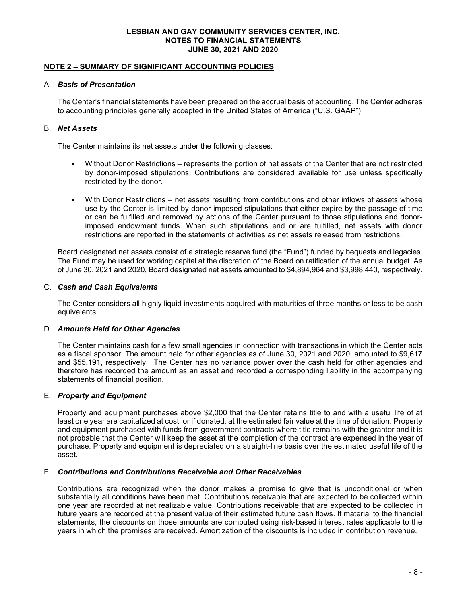# NOTE 2 – SUMMARY OF SIGNIFICANT ACCOUNTING POLICIES

#### A. Basis of Presentation

The Center's financial statements have been prepared on the accrual basis of accounting. The Center adheres to accounting principles generally accepted in the United States of America ("U.S. GAAP").

# B. Net Assets

The Center maintains its net assets under the following classes:

- Without Donor Restrictions represents the portion of net assets of the Center that are not restricted by donor-imposed stipulations. Contributions are considered available for use unless specifically restricted by the donor.
- With Donor Restrictions net assets resulting from contributions and other inflows of assets whose use by the Center is limited by donor-imposed stipulations that either expire by the passage of time or can be fulfilled and removed by actions of the Center pursuant to those stipulations and donorimposed endowment funds. When such stipulations end or are fulfilled, net assets with donor restrictions are reported in the statements of activities as net assets released from restrictions.

Board designated net assets consist of a strategic reserve fund (the "Fund") funded by bequests and legacies. The Fund may be used for working capital at the discretion of the Board on ratification of the annual budget. As of June 30, 2021 and 2020, Board designated net assets amounted to \$4,894,964 and \$3,998,440, respectively.

# C. Cash and Cash Equivalents

The Center considers all highly liquid investments acquired with maturities of three months or less to be cash equivalents.

#### D. Amounts Held for Other Agencies

The Center maintains cash for a few small agencies in connection with transactions in which the Center acts as a fiscal sponsor. The amount held for other agencies as of June 30, 2021 and 2020, amounted to \$9,617 and \$55,191, respectively. The Center has no variance power over the cash held for other agencies and therefore has recorded the amount as an asset and recorded a corresponding liability in the accompanying statements of financial position.

# E. Property and Equipment

Property and equipment purchases above \$2,000 that the Center retains title to and with a useful life of at least one year are capitalized at cost, or if donated, at the estimated fair value at the time of donation. Property and equipment purchased with funds from government contracts where title remains with the grantor and it is not probable that the Center will keep the asset at the completion of the contract are expensed in the year of purchase. Property and equipment is depreciated on a straight-line basis over the estimated useful life of the asset.

### F. Contributions and Contributions Receivable and Other Receivables

Contributions are recognized when the donor makes a promise to give that is unconditional or when substantially all conditions have been met. Contributions receivable that are expected to be collected within one year are recorded at net realizable value. Contributions receivable that are expected to be collected in future years are recorded at the present value of their estimated future cash flows. If material to the financial statements, the discounts on those amounts are computed using risk-based interest rates applicable to the years in which the promises are received. Amortization of the discounts is included in contribution revenue.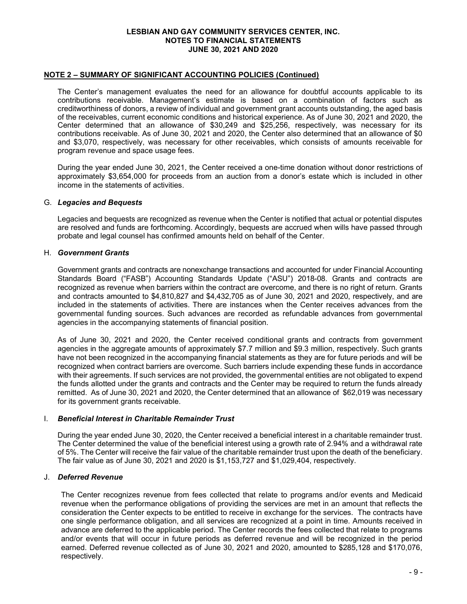#### NOTE 2 – SUMMARY OF SIGNIFICANT ACCOUNTING POLICIES (Continued)

The Center's management evaluates the need for an allowance for doubtful accounts applicable to its contributions receivable. Management's estimate is based on a combination of factors such as creditworthiness of donors, a review of individual and government grant accounts outstanding, the aged basis of the receivables, current economic conditions and historical experience. As of June 30, 2021 and 2020, the Center determined that an allowance of \$30,249 and \$25,256, respectively, was necessary for its contributions receivable. As of June 30, 2021 and 2020, the Center also determined that an allowance of \$0 and \$3,070, respectively, was necessary for other receivables, which consists of amounts receivable for program revenue and space usage fees.

During the year ended June 30, 2021, the Center received a one-time donation without donor restrictions of approximately \$3,654,000 for proceeds from an auction from a donor's estate which is included in other income in the statements of activities.

#### G. Legacies and Bequests

Legacies and bequests are recognized as revenue when the Center is notified that actual or potential disputes are resolved and funds are forthcoming. Accordingly, bequests are accrued when wills have passed through probate and legal counsel has confirmed amounts held on behalf of the Center.

# H. Government Grants

Government grants and contracts are nonexchange transactions and accounted for under Financial Accounting Standards Board ("FASB") Accounting Standards Update ("ASU") 2018-08. Grants and contracts are recognized as revenue when barriers within the contract are overcome, and there is no right of return. Grants and contracts amounted to \$4,810,827 and \$4,432,705 as of June 30, 2021 and 2020, respectively, and are included in the statements of activities. There are instances when the Center receives advances from the governmental funding sources. Such advances are recorded as refundable advances from governmental agencies in the accompanying statements of financial position.

As of June 30, 2021 and 2020, the Center received conditional grants and contracts from government agencies in the aggregate amounts of approximately \$7.7 million and \$9.3 million, respectively. Such grants have not been recognized in the accompanying financial statements as they are for future periods and will be recognized when contract barriers are overcome. Such barriers include expending these funds in accordance with their agreements. If such services are not provided, the governmental entities are not obligated to expend the funds allotted under the grants and contracts and the Center may be required to return the funds already remitted. As of June 30, 2021 and 2020, the Center determined that an allowance of \$62,019 was necessary for its government grants receivable.

#### I. Beneficial Interest in Charitable Remainder Trust

During the year ended June 30, 2020, the Center received a beneficial interest in a charitable remainder trust. The Center determined the value of the beneficial interest using a growth rate of 2.94% and a withdrawal rate of 5%. The Center will receive the fair value of the charitable remainder trust upon the death of the beneficiary. The fair value as of June 30, 2021 and 2020 is \$1,153,727 and \$1,029,404, respectively.

#### J. Deferred Revenue

The Center recognizes revenue from fees collected that relate to programs and/or events and Medicaid revenue when the performance obligations of providing the services are met in an amount that reflects the consideration the Center expects to be entitled to receive in exchange for the services. The contracts have one single performance obligation, and all services are recognized at a point in time. Amounts received in advance are deferred to the applicable period. The Center records the fees collected that relate to programs and/or events that will occur in future periods as deferred revenue and will be recognized in the period earned. Deferred revenue collected as of June 30, 2021 and 2020, amounted to \$285,128 and \$170,076, respectively.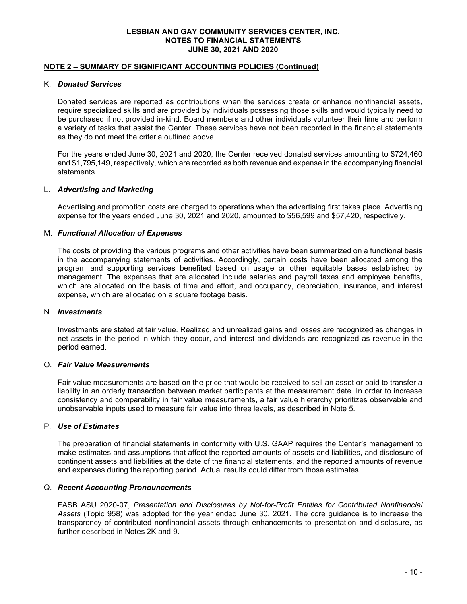# NOTE 2 – SUMMARY OF SIGNIFICANT ACCOUNTING POLICIES (Continued)

#### K. Donated Services

Donated services are reported as contributions when the services create or enhance nonfinancial assets, require specialized skills and are provided by individuals possessing those skills and would typically need to be purchased if not provided in-kind. Board members and other individuals volunteer their time and perform a variety of tasks that assist the Center. These services have not been recorded in the financial statements as they do not meet the criteria outlined above.

For the years ended June 30, 2021 and 2020, the Center received donated services amounting to \$724,460 and \$1,795,149, respectively, which are recorded as both revenue and expense in the accompanying financial statements.

#### L. Advertising and Marketing

Advertising and promotion costs are charged to operations when the advertising first takes place. Advertising expense for the years ended June 30, 2021 and 2020, amounted to \$56,599 and \$57,420, respectively.

#### M. Functional Allocation of Expenses

The costs of providing the various programs and other activities have been summarized on a functional basis in the accompanying statements of activities. Accordingly, certain costs have been allocated among the program and supporting services benefited based on usage or other equitable bases established by management. The expenses that are allocated include salaries and payroll taxes and employee benefits, which are allocated on the basis of time and effort, and occupancy, depreciation, insurance, and interest expense, which are allocated on a square footage basis.

#### N. Investments

Investments are stated at fair value. Realized and unrealized gains and losses are recognized as changes in net assets in the period in which they occur, and interest and dividends are recognized as revenue in the period earned.

#### O. Fair Value Measurements

Fair value measurements are based on the price that would be received to sell an asset or paid to transfer a liability in an orderly transaction between market participants at the measurement date. In order to increase consistency and comparability in fair value measurements, a fair value hierarchy prioritizes observable and unobservable inputs used to measure fair value into three levels, as described in Note 5.

#### P. Use of Estimates

The preparation of financial statements in conformity with U.S. GAAP requires the Center's management to make estimates and assumptions that affect the reported amounts of assets and liabilities, and disclosure of contingent assets and liabilities at the date of the financial statements, and the reported amounts of revenue and expenses during the reporting period. Actual results could differ from those estimates.

#### Q. Recent Accounting Pronouncements

FASB ASU 2020-07, Presentation and Disclosures by Not-for-Profit Entities for Contributed Nonfinancial Assets (Topic 958) was adopted for the year ended June 30, 2021. The core guidance is to increase the transparency of contributed nonfinancial assets through enhancements to presentation and disclosure, as further described in Notes 2K and 9.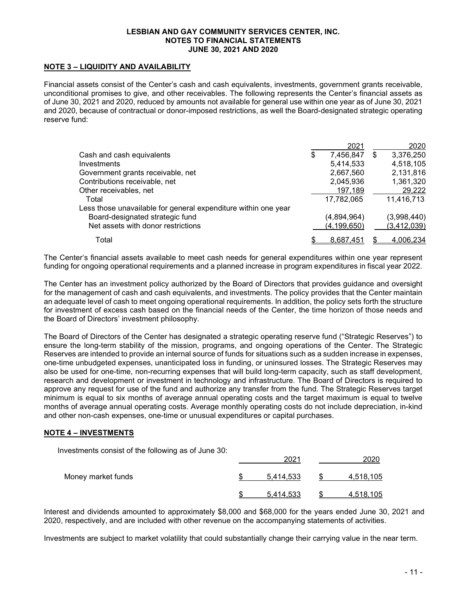# NOTE 3 – LIQUIDITY AND AVAILABILITY

Financial assets consist of the Center's cash and cash equivalents, investments, government grants receivable, unconditional promises to give, and other receivables. The following represents the Center's financial assets as of June 30, 2021 and 2020, reduced by amounts not available for general use within one year as of June 30, 2021 and 2020, because of contractual or donor-imposed restrictions, as well the Board-designated strategic operating reserve fund:

|                                                                | 2021            |   | 2020          |
|----------------------------------------------------------------|-----------------|---|---------------|
| Cash and cash equivalents                                      | \$<br>7,456,847 | S | 3,376,250     |
| Investments                                                    | 5,414,533       |   | 4,518,105     |
| Government grants receivable, net                              | 2,667,560       |   | 2,131,816     |
| Contributions receivable, net                                  | 2,045,936       |   | 1,361,320     |
| Other receivables, net                                         | 197,189         |   | 29,222        |
| Total                                                          | 17,782,065      |   | 11,416,713    |
| Less those unavailable for general expenditure within one year |                 |   |               |
| Board-designated strategic fund                                | (4,894,964)     |   | (3,998,440)   |
| Net assets with donor restrictions                             | (4, 199, 650)   |   | (3, 412, 039) |
| Total                                                          | \$<br>8,687,451 |   | 4.006.234     |

The Center's financial assets available to meet cash needs for general expenditures within one year represent funding for ongoing operational requirements and a planned increase in program expenditures in fiscal year 2022.

The Center has an investment policy authorized by the Board of Directors that provides guidance and oversight for the management of cash and cash equivalents, and investments. The policy provides that the Center maintain an adequate level of cash to meet ongoing operational requirements. In addition, the policy sets forth the structure for investment of excess cash based on the financial needs of the Center, the time horizon of those needs and the Board of Directors' investment philosophy.

The Board of Directors of the Center has designated a strategic operating reserve fund ("Strategic Reserves") to ensure the long-term stability of the mission, programs, and ongoing operations of the Center. The Strategic Reserves are intended to provide an internal source of funds for situations such as a sudden increase in expenses, one-time unbudgeted expenses, unanticipated loss in funding, or uninsured losses. The Strategic Reserves may also be used for one-time, non-recurring expenses that will build long-term capacity, such as staff development, research and development or investment in technology and infrastructure. The Board of Directors is required to approve any request for use of the fund and authorize any transfer from the fund. The Strategic Reserves target minimum is equal to six months of average annual operating costs and the target maximum is equal to twelve months of average annual operating costs. Average monthly operating costs do not include depreciation, in-kind and other non-cash expenses, one-time or unusual expenditures or capital purchases.

#### NOTE 4 – INVESTMENTS

Investments consist of the following as of June 30:

|                    | 202       |                  |
|--------------------|-----------|------------------|
| Money market funds | 5.414.533 | 4,518,105        |
|                    | 5,414,533 | <u>4,518,105</u> |

Interest and dividends amounted to approximately \$8,000 and \$68,000 for the years ended June 30, 2021 and 2020, respectively, and are included with other revenue on the accompanying statements of activities.

Investments are subject to market volatility that could substantially change their carrying value in the near term.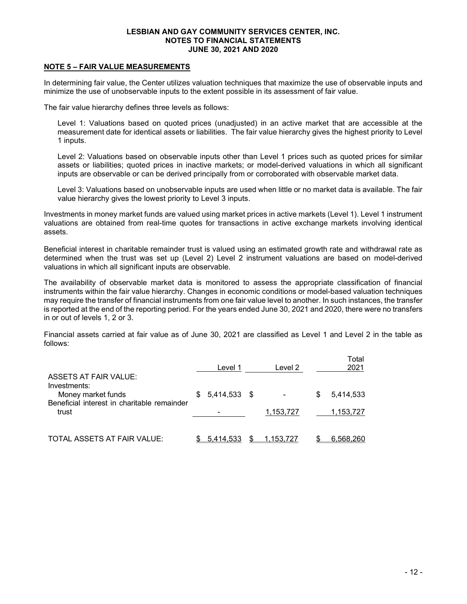# NOTE 5 – FAIR VALUE MEASUREMENTS

In determining fair value, the Center utilizes valuation techniques that maximize the use of observable inputs and minimize the use of unobservable inputs to the extent possible in its assessment of fair value.

The fair value hierarchy defines three levels as follows:

Level 1: Valuations based on quoted prices (unadjusted) in an active market that are accessible at the measurement date for identical assets or liabilities. The fair value hierarchy gives the highest priority to Level 1 inputs.

Level 2: Valuations based on observable inputs other than Level 1 prices such as quoted prices for similar assets or liabilities; quoted prices in inactive markets; or model-derived valuations in which all significant inputs are observable or can be derived principally from or corroborated with observable market data.

Level 3: Valuations based on unobservable inputs are used when little or no market data is available. The fair value hierarchy gives the lowest priority to Level 3 inputs.

Investments in money market funds are valued using market prices in active markets (Level 1). Level 1 instrument valuations are obtained from real-time quotes for transactions in active exchange markets involving identical assets.

Beneficial interest in charitable remainder trust is valued using an estimated growth rate and withdrawal rate as determined when the trust was set up (Level 2) Level 2 instrument valuations are based on model-derived valuations in which all significant inputs are observable.

The availability of observable market data is monitored to assess the appropriate classification of financial instruments within the fair value hierarchy. Changes in economic conditions or model-based valuation techniques may require the transfer of financial instruments from one fair value level to another. In such instances, the transfer is reported at the end of the reporting period. For the years ended June 30, 2021 and 2020, there were no transfers in or out of levels 1, 2 or 3.

Financial assets carried at fair value as of June 30, 2021 are classified as Level 1 and Level 2 in the table as follows:

| <b>ASSETS AT FAIR VALUE:</b>                                                      |     | Level 1      |   | Level 2   |   | Total<br>2021 |
|-----------------------------------------------------------------------------------|-----|--------------|---|-----------|---|---------------|
| Investments:<br>Money market funds<br>Beneficial interest in charitable remainder | \$. | 5,414,533 \$ |   |           | S | 5,414,533     |
| trust                                                                             |     |              |   | 1,153,727 |   | 1,153,727     |
| TOTAL ASSETS AT FAIR VALUE:                                                       |     | 5.414,533    | S | 1.153.727 |   | 6.568.260     |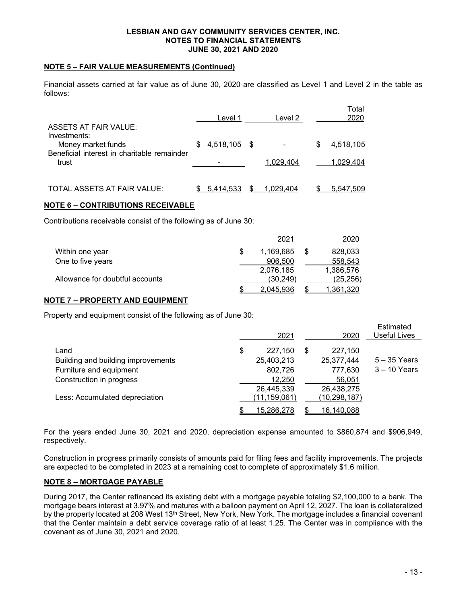# NOTE 5 – FAIR VALUE MEASUREMENTS (Continued)

Financial assets carried at fair value as of June 30, 2020 are classified as Level 1 and Level 2 in the table as follows:

| <b>ASSETS AT FAIR VALUE:</b>                         | Level 1         | Level 2   |   | Total<br>2020 |
|------------------------------------------------------|-----------------|-----------|---|---------------|
| Investments:<br>Money market funds                   | $$4,518,105$ \$ |           | S | 4,518,105     |
| Beneficial interest in charitable remainder<br>trust |                 | 1.029.404 |   | 1.029.404     |
| TOTAL ASSETS AT FAIR VALUE:                          | 5.414,533       | 1.029.404 |   | 5.547.509     |

# NOTE 6 – CONTRIBUTIONS RECEIVABLE

Contributions receivable consist of the following as of June 30:

|                                 | 2021      | 2020      |
|---------------------------------|-----------|-----------|
| Within one year                 | 1,169,685 | 828,033   |
| One to five years               | 906.500   | 558,543   |
|                                 | 2,076,185 | 1,386,576 |
| Allowance for doubtful accounts | (30.249)  | (25, 256) |
|                                 | 2.045.936 | 1,361,320 |

# NOTE 7 – PROPERTY AND EQUIPMENT

Property and equipment consist of the following as of June 30:

|                                    | 2021             | 2020         | Estimated<br><b>Useful Lives</b> |
|------------------------------------|------------------|--------------|----------------------------------|
| Land                               | \$<br>227,150    | 227,150      |                                  |
| Building and building improvements | 25,403,213       | 25,377,444   | $5 - 35$ Years                   |
| Furniture and equipment            | 802,726          | 777,630      | $3 - 10$ Years                   |
| Construction in progress           | 12.250           | 56,051       |                                  |
|                                    | 26,445,339       | 26,438,275   |                                  |
| Less: Accumulated depreciation     | (11,159,061)     | (10,298,187) |                                  |
|                                    | \$<br>15,286,278 | 16,140,088   |                                  |

For the years ended June 30, 2021 and 2020, depreciation expense amounted to \$860,874 and \$906,949, respectively.

Construction in progress primarily consists of amounts paid for filing fees and facility improvements. The projects are expected to be completed in 2023 at a remaining cost to complete of approximately \$1.6 million.

# NOTE 8 – MORTGAGE PAYABLE

During 2017, the Center refinanced its existing debt with a mortgage payable totaling \$2,100,000 to a bank. The mortgage bears interest at 3.97% and matures with a balloon payment on April 12, 2027. The loan is collateralized by the property located at 208 West 13<sup>th</sup> Street, New York, New York. The mortgage includes a financial covenant that the Center maintain a debt service coverage ratio of at least 1.25. The Center was in compliance with the covenant as of June 30, 2021 and 2020.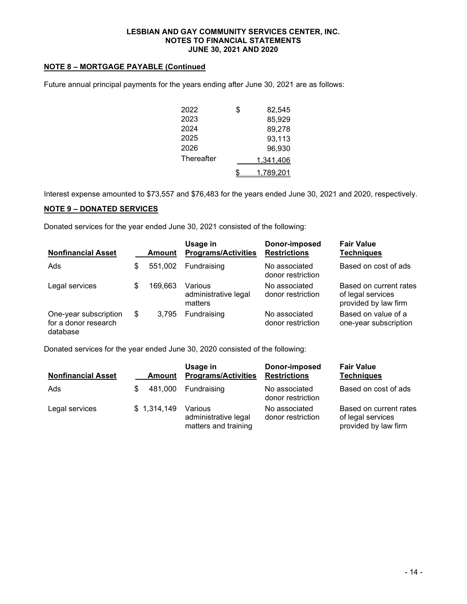# NOTE 8 – MORTGAGE PAYABLE (Continued

Future annual principal payments for the years ending after June 30, 2021 are as follows:

| 2022       | \$<br>82,545    |
|------------|-----------------|
| 2023       | 85,929          |
| 2024       | 89,278          |
| 2025       | 93,113          |
| 2026       | 96,930          |
| Thereafter | 1,341,406       |
|            | \$<br>1,789,201 |

Interest expense amounted to \$73,557 and \$76,483 for the years ended June 30, 2021 and 2020, respectively.

# NOTE 9 – DONATED SERVICES

Donated services for the year ended June 30, 2021 consisted of the following:

| <b>Nonfinancial Asset</b>                                 | Amount        | Usage in<br><b>Programs/Activities</b>     | Donor-imposed<br><b>Restrictions</b> | <b>Fair Value</b><br><b>Techniques</b>                              |
|-----------------------------------------------------------|---------------|--------------------------------------------|--------------------------------------|---------------------------------------------------------------------|
| Ads                                                       | \$<br>551,002 | Fundraising                                | No associated<br>donor restriction   | Based on cost of ads                                                |
| Legal services                                            | \$<br>169,663 | Various<br>administrative legal<br>matters | No associated<br>donor restriction   | Based on current rates<br>of legal services<br>provided by law firm |
| One-year subscription<br>for a donor research<br>database | \$<br>3.795   | Fundraising                                | No associated<br>donor restriction   | Based on value of a<br>one-year subscription                        |

Donated services for the year ended June 30, 2020 consisted of the following:

| <b>Nonfinancial Asset</b> | Amount       | Usage in<br><b>Programs/Activities</b>                  | Donor-imposed<br><b>Restrictions</b> | <b>Fair Value</b><br><b>Techniques</b>                              |
|---------------------------|--------------|---------------------------------------------------------|--------------------------------------|---------------------------------------------------------------------|
| Ads                       | 481,000<br>S | Fundraising                                             | No associated<br>donor restriction   | Based on cost of ads                                                |
| Legal services            | \$1,314,149  | Various<br>administrative legal<br>matters and training | No associated<br>donor restriction   | Based on current rates<br>of legal services<br>provided by law firm |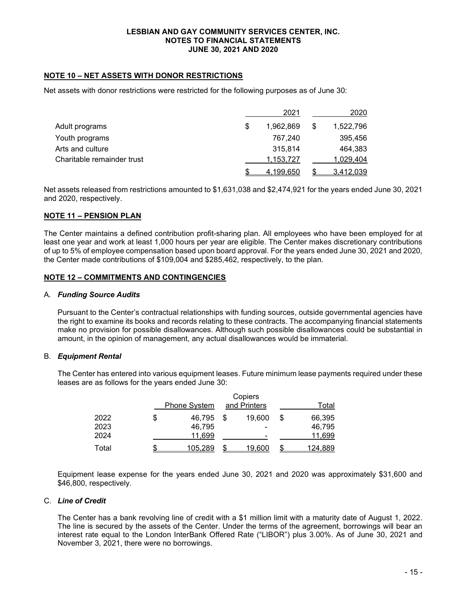# NOTE 10 – NET ASSETS WITH DONOR RESTRICTIONS

Net assets with donor restrictions were restricted for the following purposes as of June 30:

|                            | 2021            | 2020            |
|----------------------------|-----------------|-----------------|
| Adult programs             | \$<br>1.962.869 | \$<br>1,522,796 |
| Youth programs             | 767.240         | 395,456         |
| Arts and culture           | 315.814         | 464.383         |
| Charitable remainder trust | 1,153,727       | 1.029.404       |
|                            | 4,199,650       | 3,412,039       |

Net assets released from restrictions amounted to \$1,631,038 and \$2,474,921 for the years ended June 30, 2021 and 2020, respectively.

# NOTE 11 – PENSION PLAN

The Center maintains a defined contribution profit-sharing plan. All employees who have been employed for at least one year and work at least 1,000 hours per year are eligible. The Center makes discretionary contributions of up to 5% of employee compensation based upon board approval. For the years ended June 30, 2021 and 2020, the Center made contributions of \$109,004 and \$285,462, respectively, to the plan.

#### NOTE 12 – COMMITMENTS AND CONTINGENCIES

#### A. Funding Source Audits

Pursuant to the Center's contractual relationships with funding sources, outside governmental agencies have the right to examine its books and records relating to these contracts. The accompanying financial statements make no provision for possible disallowances. Although such possible disallowances could be substantial in amount, in the opinion of management, any actual disallowances would be immaterial.

#### B. Equipment Rental

The Center has entered into various equipment leases. Future minimum lease payments required under these leases are as follows for the years ended June 30:

|       | Copiers             |              |        |   |         |
|-------|---------------------|--------------|--------|---|---------|
|       | <b>Phone System</b> | and Printers |        |   | Total   |
| 2022  | \$<br>46.795        |              | 19.600 | S | 66,395  |
| 2023  | 46,795              |              | -      |   | 46,795  |
| 2024  | 11.699              |              | -      |   | 11,699  |
| Total | 105,289             | S            | 19,600 |   | 124,889 |

Equipment lease expense for the years ended June 30, 2021 and 2020 was approximately \$31,600 and \$46,800, respectively.

### C. Line of Credit

The Center has a bank revolving line of credit with a \$1 million limit with a maturity date of August 1, 2022. The line is secured by the assets of the Center. Under the terms of the agreement, borrowings will bear an interest rate equal to the London InterBank Offered Rate ("LIBOR") plus 3.00%. As of June 30, 2021 and November 3, 2021, there were no borrowings.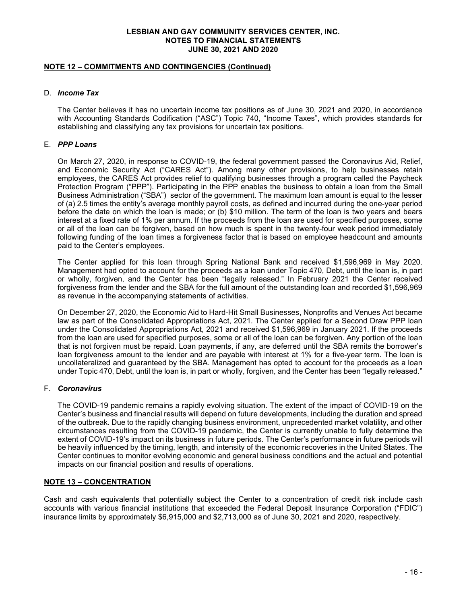# NOTE 12 – COMMITMENTS AND CONTINGENCIES (Continued)

# D. Income Tax

The Center believes it has no uncertain income tax positions as of June 30, 2021 and 2020, in accordance with Accounting Standards Codification ("ASC") Topic 740, "Income Taxes", which provides standards for establishing and classifying any tax provisions for uncertain tax positions.

# E. PPP Loans

On March 27, 2020, in response to COVID-19, the federal government passed the Coronavirus Aid, Relief, and Economic Security Act ("CARES Act"). Among many other provisions, to help businesses retain employees, the CARES Act provides relief to qualifying businesses through a program called the Paycheck Protection Program ("PPP"). Participating in the PPP enables the business to obtain a loan from the Small Business Administration ("SBA") sector of the government. The maximum loan amount is equal to the lesser of (a) 2.5 times the entity's average monthly payroll costs, as defined and incurred during the one-year period before the date on which the loan is made; or (b) \$10 million. The term of the loan is two years and bears interest at a fixed rate of 1% per annum. If the proceeds from the loan are used for specified purposes, some or all of the loan can be forgiven, based on how much is spent in the twenty-four week period immediately following funding of the loan times a forgiveness factor that is based on employee headcount and amounts paid to the Center's employees.

The Center applied for this loan through Spring National Bank and received \$1,596,969 in May 2020. Management had opted to account for the proceeds as a loan under Topic 470, Debt, until the loan is, in part or wholly, forgiven, and the Center has been "legally released." In February 2021 the Center received forgiveness from the lender and the SBA for the full amount of the outstanding loan and recorded \$1,596,969 as revenue in the accompanying statements of activities.

On December 27, 2020, the Economic Aid to Hard-Hit Small Businesses, Nonprofits and Venues Act became law as part of the Consolidated Appropriations Act, 2021. The Center applied for a Second Draw PPP loan under the Consolidated Appropriations Act, 2021 and received \$1,596,969 in January 2021. If the proceeds from the loan are used for specified purposes, some or all of the loan can be forgiven. Any portion of the loan that is not forgiven must be repaid. Loan payments, if any, are deferred until the SBA remits the borrower's loan forgiveness amount to the lender and are payable with interest at 1% for a five-year term. The loan is uncollateralized and guaranteed by the SBA. Management has opted to account for the proceeds as a loan under Topic 470, Debt, until the loan is, in part or wholly, forgiven, and the Center has been "legally released."

# F. Coronavirus

The COVID-19 pandemic remains a rapidly evolving situation. The extent of the impact of COVID-19 on the Center's business and financial results will depend on future developments, including the duration and spread of the outbreak. Due to the rapidly changing business environment, unprecedented market volatility, and other circumstances resulting from the COVID-19 pandemic, the Center is currently unable to fully determine the extent of COVID-19's impact on its business in future periods. The Center's performance in future periods will be heavily influenced by the timing, length, and intensity of the economic recoveries in the United States. The Center continues to monitor evolving economic and general business conditions and the actual and potential impacts on our financial position and results of operations.

# NOTE 13 – CONCENTRATION

Cash and cash equivalents that potentially subject the Center to a concentration of credit risk include cash accounts with various financial institutions that exceeded the Federal Deposit Insurance Corporation ("FDIC") insurance limits by approximately \$6,915,000 and \$2,713,000 as of June 30, 2021 and 2020, respectively.